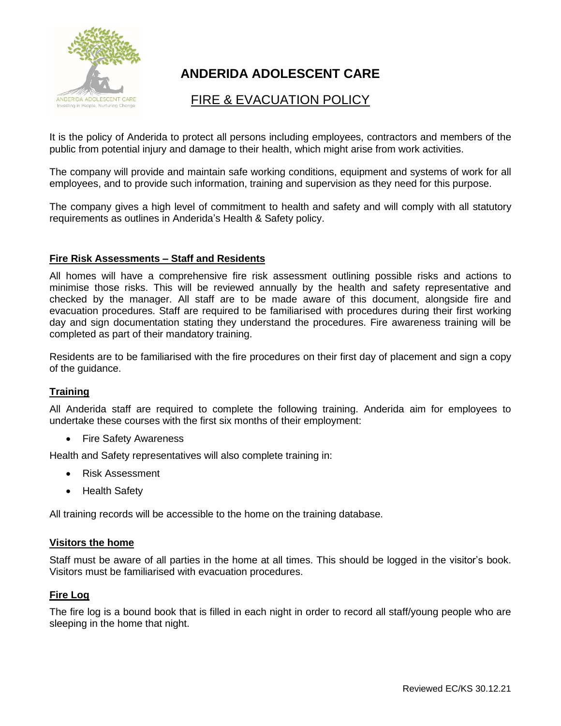

# **ANDERIDA ADOLESCENT CARE**

## FIRE & EVACUATION POLICY

It is the policy of Anderida to protect all persons including employees, contractors and members of the public from potential injury and damage to their health, which might arise from work activities.

The company will provide and maintain safe working conditions, equipment and systems of work for all employees, and to provide such information, training and supervision as they need for this purpose.

The company gives a high level of commitment to health and safety and will comply with all statutory requirements as outlines in Anderida's Health & Safety policy.

## **Fire Risk Assessments – Staff and Residents**

All homes will have a comprehensive fire risk assessment outlining possible risks and actions to minimise those risks. This will be reviewed annually by the health and safety representative and checked by the manager. All staff are to be made aware of this document, alongside fire and evacuation procedures. Staff are required to be familiarised with procedures during their first working day and sign documentation stating they understand the procedures. Fire awareness training will be completed as part of their mandatory training.

Residents are to be familiarised with the fire procedures on their first day of placement and sign a copy of the guidance.

## **Training**

All Anderida staff are required to complete the following training. Anderida aim for employees to undertake these courses with the first six months of their employment:

• Fire Safety Awareness

Health and Safety representatives will also complete training in:

- Risk Assessment
- Health Safety

All training records will be accessible to the home on the training database.

#### **Visitors the home**

Staff must be aware of all parties in the home at all times. This should be logged in the visitor's book. Visitors must be familiarised with evacuation procedures.

## **Fire Log**

The fire log is a bound book that is filled in each night in order to record all staff/young people who are sleeping in the home that night.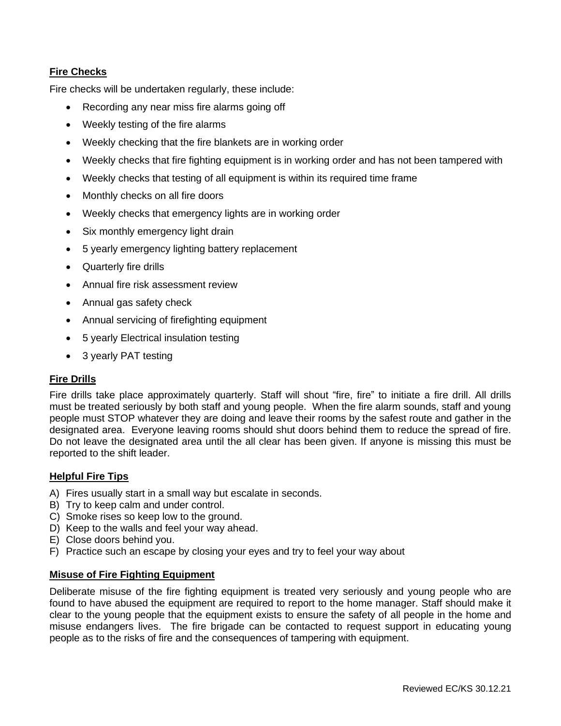## **Fire Checks**

Fire checks will be undertaken regularly, these include:

- Recording any near miss fire alarms going off
- Weekly testing of the fire alarms
- Weekly checking that the fire blankets are in working order
- Weekly checks that fire fighting equipment is in working order and has not been tampered with
- Weekly checks that testing of all equipment is within its required time frame
- Monthly checks on all fire doors
- Weekly checks that emergency lights are in working order
- Six monthly emergency light drain
- 5 yearly emergency lighting battery replacement
- Quarterly fire drills
- Annual fire risk assessment review
- Annual gas safety check
- Annual servicing of firefighting equipment
- 5 yearly Electrical insulation testing
- 3 yearly PAT testing

#### **Fire Drills**

Fire drills take place approximately quarterly. Staff will shout "fire, fire" to initiate a fire drill. All drills must be treated seriously by both staff and young people. When the fire alarm sounds, staff and young people must STOP whatever they are doing and leave their rooms by the safest route and gather in the designated area. Everyone leaving rooms should shut doors behind them to reduce the spread of fire. Do not leave the designated area until the all clear has been given. If anyone is missing this must be reported to the shift leader.

#### **Helpful Fire Tips**

- A) Fires usually start in a small way but escalate in seconds.
- B) Try to keep calm and under control.
- C) Smoke rises so keep low to the ground.
- D) Keep to the walls and feel your way ahead.
- E) Close doors behind you.
- F) Practice such an escape by closing your eyes and try to feel your way about

#### **Misuse of Fire Fighting Equipment**

Deliberate misuse of the fire fighting equipment is treated very seriously and young people who are found to have abused the equipment are required to report to the home manager. Staff should make it clear to the young people that the equipment exists to ensure the safety of all people in the home and misuse endangers lives. The fire brigade can be contacted to request support in educating young people as to the risks of fire and the consequences of tampering with equipment.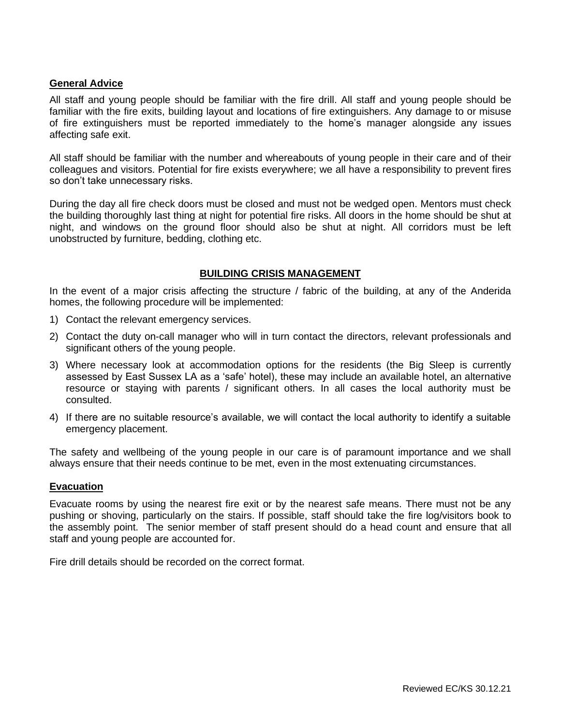#### **General Advice**

All staff and young people should be familiar with the fire drill. All staff and young people should be familiar with the fire exits, building layout and locations of fire extinguishers. Any damage to or misuse of fire extinguishers must be reported immediately to the home's manager alongside any issues affecting safe exit.

All staff should be familiar with the number and whereabouts of young people in their care and of their colleagues and visitors. Potential for fire exists everywhere; we all have a responsibility to prevent fires so don't take unnecessary risks.

During the day all fire check doors must be closed and must not be wedged open. Mentors must check the building thoroughly last thing at night for potential fire risks. All doors in the home should be shut at night, and windows on the ground floor should also be shut at night. All corridors must be left unobstructed by furniture, bedding, clothing etc.

#### **BUILDING CRISIS MANAGEMENT**

In the event of a major crisis affecting the structure / fabric of the building, at any of the Anderida homes, the following procedure will be implemented:

- 1) Contact the relevant emergency services.
- 2) Contact the duty on-call manager who will in turn contact the directors, relevant professionals and significant others of the young people.
- 3) Where necessary look at accommodation options for the residents (the Big Sleep is currently assessed by East Sussex LA as a 'safe' hotel), these may include an available hotel, an alternative resource or staying with parents / significant others. In all cases the local authority must be consulted.
- 4) If there are no suitable resource's available, we will contact the local authority to identify a suitable emergency placement.

The safety and wellbeing of the young people in our care is of paramount importance and we shall always ensure that their needs continue to be met, even in the most extenuating circumstances.

#### **Evacuation**

Evacuate rooms by using the nearest fire exit or by the nearest safe means. There must not be any pushing or shoving, particularly on the stairs. If possible, staff should take the fire log/visitors book to the assembly point. The senior member of staff present should do a head count and ensure that all staff and young people are accounted for.

Fire drill details should be recorded on the correct format.